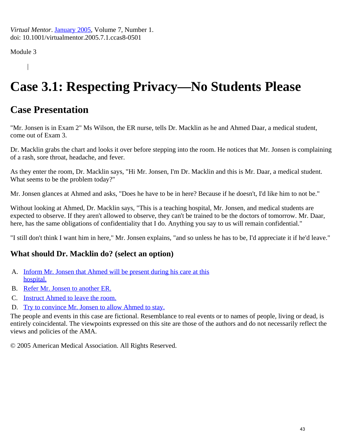*Virtual Mentor*. [January 2005](file:///2005/01/toc-0501.html), Volume 7, Number 1. doi: 10.1001/virtualmentor.2005.7.1.ccas8-0501

Module 3

|

## **Case 3.1: Respecting Privacy—No Students Please**

### **Case Presentation**

"Mr. Jonsen is in Exam 2" Ms Wilson, the ER nurse, tells Dr. Macklin as he and Ahmed Daar, a medical student, come out of Exam 3.

Dr. Macklin grabs the chart and looks it over before stepping into the room. He notices that Mr. Jonsen is complaining of a rash, sore throat, headache, and fever.

As they enter the room, Dr. Macklin says, "Hi Mr. Jonsen, I'm Dr. Macklin and this is Mr. Daar, a medical student. What seems to be the problem today?"

Mr. Jonsen glances at Ahmed and asks, "Does he have to be in here? Because if he doesn't, I'd like him to not be."

Without looking at Ahmed, Dr. Macklin says, "This is a teaching hospital, Mr. Jonsen, and medical students are expected to observe. If they aren't allowed to observe, they can't be trained to be the doctors of tomorrow. Mr. Daar, here, has the same obligations of confidentiality that I do. Anything you say to us will remain confidential."

"I still don't think I want him in here," Mr. Jonsen explains, "and so unless he has to be, I'd appreciate it if he'd leave."

### **What should Dr. Macklin do? (select an option)**

- A. [Inform Mr. Jonsen that Ahmed will be present during his care at this](file:///2005/01/ccas8a-0501.html#a) [hospital.](file:///2005/01/ccas8a-0501.html#a)
- B. [Refer Mr. Jonsen to another ER.](file:///2005/01/ccas8a-0501.html#b)
- C. [Instruct Ahmed to leave the room.](file:///2005/01/ccas8a-0501.html#c)
- D. [Try to convince Mr. Jonsen to allow Ahmed to stay.](file:///2005/01/ccas8a-0501.html#d)

The people and events in this case are fictional. Resemblance to real events or to names of people, living or dead, is entirely coincidental. The viewpoints expressed on this site are those of the authors and do not necessarily reflect the views and policies of the AMA.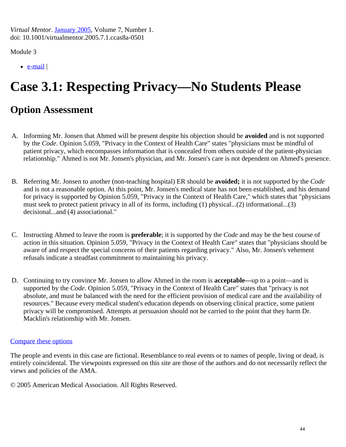<span id="page-1-0"></span>*Virtual Mentor*. [January 2005](file:///2005/01/toc-0501.html), Volume 7, Number 1. doi: 10.1001/virtualmentor.2005.7.1.ccas8a-0501

Module 3

 $\bullet$  [e-mail](#page-1-0)

## **Case 3.1: Respecting Privacy—No Students Please**

### **Option Assessment**

- A. Informing Mr. Jonsen that Ahmed will be present despite his objection should be **avoided** and is not supported by the *Code*. Opinion 5.059, "Privacy in the Context of Health Care" states "physicians must be mindful of patient privacy, which encompasses information that is concealed from others outside of the patient-physician relationship." Ahmed is not Mr. Jonsen's physician, and Mr. Jonsen's care is not dependent on Ahmed's presence.
- B. Referring Mr. Jonsen to another (non-teaching hospital) ER should be **avoided;** it is not supported by the *Code* and is not a reasonable option. At this point, Mr. Jonsen's medical state has not been established, and his demand for privacy is supported by Opinion 5.059, "Privacy in the Context of Health Care," which states that "physicians must seek to protect patient privacy in all of its forms, including (1) physical...(2) informational...(3) decisional...and (4) associational."
- C. Instructing Ahmed to leave the room is **preferable**; it is supported by the *Code* and may be the best course of action in this situation. Opinion 5.059, "Privacy in the Context of Health Care" states that "physicians should be aware of and respect the special concerns of their patients regarding privacy." Also, Mr. Jonsen's vehement refusals indicate a steadfast commitment to maintaining his privacy.
- D. Continuing to try convince Mr. Jonsen to allow Ahmed in the room is **acceptable—**up to a point—and is supported by the *Code*. Opinion 5.059, "Privacy in the Context of Health Care" states that "privacy is not absolute, and must be balanced with the need for the efficient provision of medical care and the availability of resources." Because every medical student's education depends on observing clinical practice, some patient privacy will be compromised. Attempts at persuasion should not be carried to the point that they harm Dr. Macklin's relationship with Mr. Jonsen.

### [Compare these options](file:///2005/01/ccas8b-0501.html)

The people and events in this case are fictional. Resemblance to real events or to names of people, living or dead, is entirely coincidental. The viewpoints expressed on this site are those of the authors and do not necessarily reflect the views and policies of the AMA.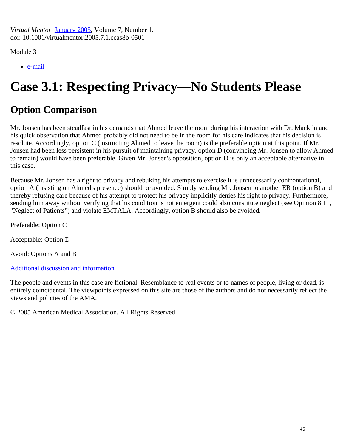<span id="page-2-0"></span>*Virtual Mentor*. [January 2005](file:///2005/01/toc-0501.html), Volume 7, Number 1. doi: 10.1001/virtualmentor.2005.7.1.ccas8b-0501

Module 3

 $\bullet$  [e-mail](#page-2-0)

## **Case 3.1: Respecting Privacy—No Students Please**

## **Option Comparison**

Mr. Jonsen has been steadfast in his demands that Ahmed leave the room during his interaction with Dr. Macklin and his quick observation that Ahmed probably did not need to be in the room for his care indicates that his decision is resolute. Accordingly, option C (instructing Ahmed to leave the room) is the preferable option at this point. If Mr. Jonsen had been less persistent in his pursuit of maintaining privacy, option D (convincing Mr. Jonsen to allow Ahmed to remain) would have been preferable. Given Mr. Jonsen's opposition, option D is only an acceptable alternative in this case.

Because Mr. Jonsen has a right to privacy and rebuking his attempts to exercise it is unnecessarily confrontational, option A (insisting on Ahmed's presence) should be avoided. Simply sending Mr. Jonsen to another ER (option B) and thereby refusing care because of his attempt to protect his privacy implicitly denies his right to privacy. Furthermore, sending him away without verifying that his condition is not emergent could also constitute neglect (see Opinion 8.11, "Neglect of Patients") and violate EMTALA. Accordingly, option B should also be avoided.

Preferable: Option C

Acceptable: Option D

Avoid: Options A and B

[Additional discussion and information](file:///2005/01/ccas8c-0501.html)

The people and events in this case are fictional. Resemblance to real events or to names of people, living or dead, is entirely coincidental. The viewpoints expressed on this site are those of the authors and do not necessarily reflect the views and policies of the AMA.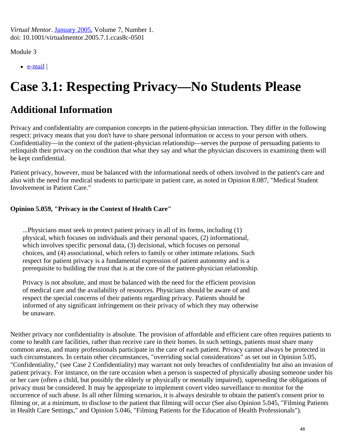<span id="page-3-0"></span>*Virtual Mentor*. [January 2005](file:///2005/01/toc-0501.html), Volume 7, Number 1. doi: 10.1001/virtualmentor.2005.7.1.ccas8c-0501

Module 3

 $\bullet$  [e-mail](#page-3-0)

# **Case 3.1: Respecting Privacy—No Students Please**

### **Additional Information**

Privacy and confidentiality are companion concepts in the patient-physician interaction. They differ in the following respect: privacy means that you don't have to share personal information or access to your person with others. Confidentiality—in the context of the patient-physician relationship—serves the purpose of persuading patients to relinquish their privacy on the condition that what they say and what the physician discovers in examining them will be kept confidential.

Patient privacy, however, must be balanced with the informational needs of others involved in the patient's care and also with the need for medical students to participate in patient care, as noted in Opinion 8.087, "Medical Student Involvement in Patient Care."

#### **Opinion 5.059, "Privacy in the Context of Health Care"**

...Physicians must seek to protect patient privacy in all of its forms, including (1) physical, which focuses on individuals and their personal spaces, (2) informational, which involves specific personal data, (3) decisional, which focuses on personal choices, and (4) associational, which refers to family or other intimate relations. Such respect for patient privacy is a fundamental expression of patient autonomy and is a prerequisite to building the trust that is at the core of the patient-physician relationship.

Privacy is not absolute, and must be balanced with the need for the efficient provision of medical care and the availability of resources. Physicians should be aware of and respect the special concerns of their patients regarding privacy. Patients should be informed of any significant infringement on their privacy of which they may otherwise be unaware.

Neither privacy nor confidentiality is absolute. The provision of affordable and efficient care often requires patients to come to health care facilities, rather than receive care in their homes. In such settings, patients must share many common areas, and many professionals participate in the care of each patient. Privacy cannot always be protected in such circumstances. In certain other circumstances, "overriding social considerations" as set out in Opinion 5.05, "Confidentiality," (see Case 2 Confidentiality) may warrant not only breaches of confidentiality but also an invasion of patient privacy. For instance, on the rare occasion when a person is suspected of physically abusing someone under his or her care (often a child, but possibly the elderly or physically or mentally impaired), superseding the obligations of privacy must be considered. It may be appropriate to implement covert video surveillance to monitor for the occurrence of such abuse. In all other filming scenarios, it is always desirable to obtain the patient's consent prior to filming or, at a minimum, to disclose to the patient that filming will occur (See also Opinion 5.045, "Filming Patients in Health Care Settings," and Opinion 5.046, "Filming Patients for the Education of Health Professionals").